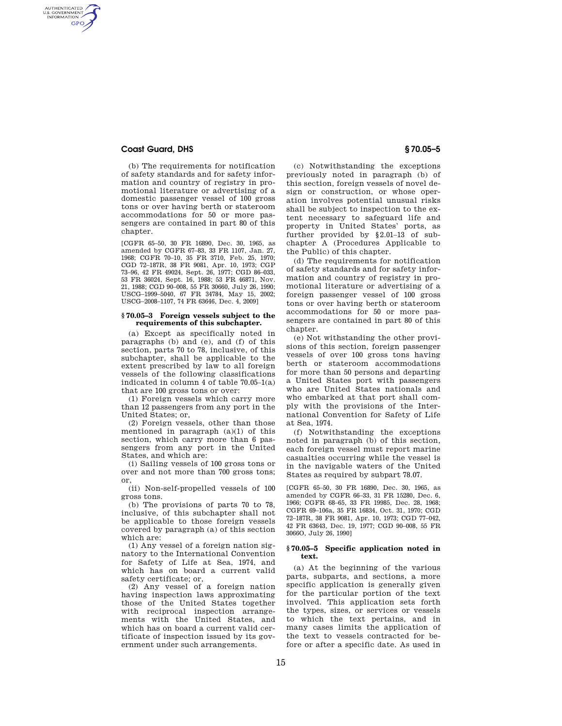## **Coast Guard, DHS § 70.05–5**

AUTHENTICATED<br>U.S. GOVERNMENT<br>INFORMATION **GPO** 

> (b) The requirements for notification of safety standards and for safety information and country of registry in promotional literature or advertising of a domestic passenger vessel of 100 gross tons or over having berth or stateroom accommodations for 50 or more passengers are contained in part 80 of this chapter.

> [CGFR 65–50, 30 FR 16890, Dec. 30, 1965, as amended by CGFR 67–83, 33 FR 1107, Jan. 27, 1968; CGFR 70–10, 35 FR 3710, Feb. 25, 1970; CGD 72–187R, 38 FR 9081, Apr. 10, 1973; CGP 73–96, 42 FR 49024, Sept. 26, 1977; CGD 86–033, 53 FR 36024, Sept. 16, 1988; 53 FR 46871, Nov. 21, 1988; CGD 90–008, 55 FR 30660, July 26, 1990; USCG–1999–5040, 67 FR 34784, May 15, 2002; USCG–2008–1107, 74 FR 63646, Dec. 4, 2009]

#### **§ 70.05–3 Foreign vessels subject to the requirements of this subchapter.**

(a) Except as specifically noted in paragraphs (b) and (e), and (f) of this section, parts 70 to 78, inclusive, of this subchapter, shall be applicable to the extent prescribed by law to all foreign vessels of the following classifications indicated in column 4 of table 70.05–1(a) that are 100 gross tons or over:

(1) Foreign vessels which carry more than 12 passengers from any port in the United States; or,

(2) Foreign vessels, other than those mentioned in paragraph (a)(1) of this section, which carry more than 6 passengers from any port in the United States, and which are:

(i) Sailing vessels of 100 gross tons or over and not more than 700 gross tons; or,

(ii) Non-self-propelled vessels of 100 gross tons.

(b) The provisions of parts 70 to 78, inclusive, of this subchapter shall not be applicable to those foreign vessels covered by paragraph (a) of this section which are:

(1) Any vessel of a foreign nation signatory to the International Convention for Safety of Life at Sea, 1974, and which has on board a current valid safety certificate; or,

(2) Any vessel of a foreign nation having inspection laws approximating those of the United States together with reciprocal inspection arrangements with the United States, and which has on board a current valid certificate of inspection issued by its government under such arrangements.

(c) Notwithstanding the exceptions previously noted in paragraph (b) of this section, foreign vessels of novel design or construction, or whose operation involves potential unusual risks shall be subject to inspection to the extent necessary to safeguard life and property in United States' ports, as further provided by §2.01–13 of subchapter A (Procedures Applicable to the Public) of this chapter.

(d) The requirements for notification of safety standards and for safety information and country of registry in promotional literature or advertising of a foreign passenger vessel of 100 gross tons or over having berth or stateroom accommodations for 50 or more passengers are contained in part 80 of this chapter.

(e) Not withstanding the other provisions of this section, foreign passenger vessels of over 100 gross tons having berth or stateroom accommodations for more than 50 persons and departing a United States port with passengers who are United States nationals and who embarked at that port shall comply with the provisions of the International Convention for Safety of Life at Sea, 1974.

(f) Notwithstanding the exceptions noted in paragraph (b) of this section, each foreign vessel must report marine casualties occurring while the vessel is in the navigable waters of the United States as required by subpart 78.07.

[CGFR 65–50, 30 FR 16890, Dec. 30, 1965, as amended by CGFR 66–33, 31 FR 15280, Dec. 6, 1966; CGFR 68–65, 33 FR 19985, Dec. 28, 1968; CGFR 69–106a, 35 FR 16834, Oct. 31, 1970; CGD 72–187R, 38 FR 9081, Apr. 10, 1973; CGD 77–042, 42 FR 63643, Dec. 19, 1977; CGD 90–008, 55 FR 3066O, July 26, 1990]

### **§ 70.05–5 Specific application noted in text.**

(a) At the beginning of the various parts, subparts, and sections, a more specific application is generally given for the particular portion of the text involved. This application sets forth the types, sizes, or services or vessels to which the text pertains, and in many cases limits the application of the text to vessels contracted for before or after a specific date. As used in